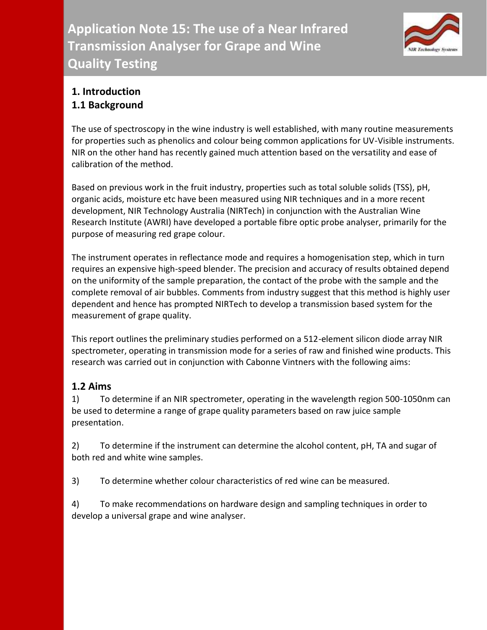

### **1. Introduction 1.1 Background**

The use of spectroscopy in the wine industry is well established, with many routine measurements for properties such as phenolics and colour being common applications for UV-Visible instruments. NIR on the other hand has recently gained much attention based on the versatility and ease of calibration of the method.

Based on previous work in the fruit industry, properties such as total soluble solids (TSS), pH, organic acids, moisture etc have been measured using NIR techniques and in a more recent development, NIR Technology Australia (NIRTech) in conjunction with the Australian Wine Research Institute (AWRI) have developed a portable fibre optic probe analyser, primarily for the purpose of measuring red grape colour.

The instrument operates in reflectance mode and requires a homogenisation step, which in turn requires an expensive high-speed blender. The precision and accuracy of results obtained depend on the uniformity of the sample preparation, the contact of the probe with the sample and the complete removal of air bubbles. Comments from industry suggest that this method is highly user dependent and hence has prompted NIRTech to develop a transmission based system for the measurement of grape quality.

This report outlines the preliminary studies performed on a 512-element silicon diode array NIR spectrometer, operating in transmission mode for a series of raw and finished wine products. This research was carried out in conjunction with Cabonne Vintners with the following aims:

# **1.2 Aims**

1) To determine if an NIR spectrometer, operating in the wavelength region 500-1050nm can be used to determine a range of grape quality parameters based on raw juice sample presentation.

2) To determine if the instrument can determine the alcohol content, pH, TA and sugar of both red and white wine samples.

3) To determine whether colour characteristics of red wine can be measured.

4) To make recommendations on hardware design and sampling techniques in order to develop a universal grape and wine analyser.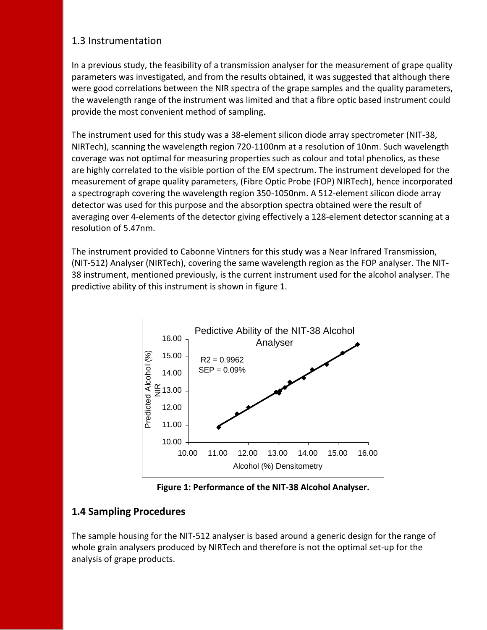### 1.3 Instrumentation

In a previous study, the feasibility of a transmission analyser for the measurement of grape quality parameters was investigated, and from the results obtained, it was suggested that although there were good correlations between the NIR spectra of the grape samples and the quality parameters, the wavelength range of the instrument was limited and that a fibre optic based instrument could provide the most convenient method of sampling.

The instrument used for this study was a 38-element silicon diode array spectrometer (NIT-38, NIRTech), scanning the wavelength region 720-1100nm at a resolution of 10nm. Such wavelength coverage was not optimal for measuring properties such as colour and total phenolics, as these are highly correlated to the visible portion of the EM spectrum. The instrument developed for the measurement of grape quality parameters, (Fibre Optic Probe (FOP) NIRTech), hence incorporated a spectrograph covering the wavelength region 350-1050nm. A 512-element silicon diode array detector was used for this purpose and the absorption spectra obtained were the result of averaging over 4-elements of the detector giving effectively a 128-element detector scanning at a resolution of 5.47nm.

The instrument provided to Cabonne Vintners for this study was a Near Infrared Transmission, (NIT-512) Analyser (NIRTech), covering the same wavelength region as the FOP analyser. The NIT-38 instrument, mentioned previously, is the current instrument used for the alcohol analyser. The predictive ability of this instrument is shown in figure 1.



**Figure 1: Performance of the NIT-38 Alcohol Analyser.**

### **1.4 Sampling Procedures**

The sample housing for the NIT-512 analyser is based around a generic design for the range of whole grain analysers produced by NIRTech and therefore is not the optimal set-up for the analysis of grape products.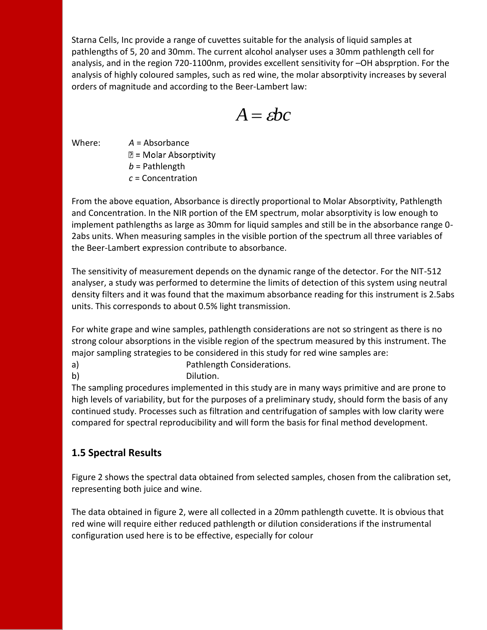Starna Cells, Inc provide a range of cuvettes suitable for the analysis of liquid samples at pathlengths of 5, 20 and 30mm. The current alcohol analyser uses a 30mm pathlength cell for analysis, and in the region 720-1100nm, provides excellent sensitivity for –OH absprption. For the analysis of highly coloured samples, such as red wine, the molar absorptivity increases by several orders of magnitude and according to the Beer-Lambert law:

 $A = ebc$ 

Where: *A* = Absorbance

 $\mathbb{Z}$  = Molar Absorptivity

*b* = Pathlength

*c* = Concentration

From the above equation, Absorbance is directly proportional to Molar Absorptivity, Pathlength and Concentration. In the NIR portion of the EM spectrum, molar absorptivity is low enough to implement pathlengths as large as 30mm for liquid samples and still be in the absorbance range 0- 2abs units. When measuring samples in the visible portion of the spectrum all three variables of the Beer-Lambert expression contribute to absorbance.

The sensitivity of measurement depends on the dynamic range of the detector. For the NIT-512 analyser, a study was performed to determine the limits of detection of this system using neutral density filters and it was found that the maximum absorbance reading for this instrument is 2.5abs units. This corresponds to about 0.5% light transmission.

For white grape and wine samples, pathlength considerations are not so stringent as there is no strong colour absorptions in the visible region of the spectrum measured by this instrument. The major sampling strategies to be considered in this study for red wine samples are:

- a) Pathlength Considerations.
- b) Dilution.

The sampling procedures implemented in this study are in many ways primitive and are prone to high levels of variability, but for the purposes of a preliminary study, should form the basis of any continued study. Processes such as filtration and centrifugation of samples with low clarity were compared for spectral reproducibility and will form the basis for final method development.

# **1.5 Spectral Results**

Figure 2 shows the spectral data obtained from selected samples, chosen from the calibration set, representing both juice and wine.

The data obtained in figure 2, were all collected in a 20mm pathlength cuvette. It is obvious that red wine will require either reduced pathlength or dilution considerations if the instrumental configuration used here is to be effective, especially for colour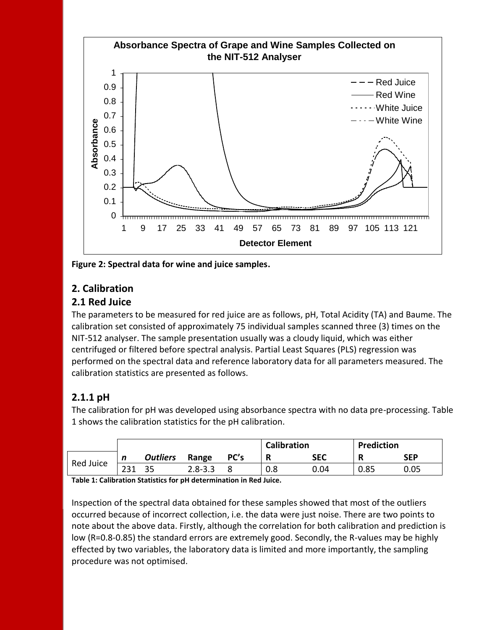

**Figure 2: Spectral data for wine and juice samples.**

# **2. Calibration**

### **2.1 Red Juice**

The parameters to be measured for red juice are as follows, pH, Total Acidity (TA) and Baume. The calibration set consisted of approximately 75 individual samples scanned three (3) times on the NIT-512 analyser. The sample presentation usually was a cloudy liquid, which was either centrifuged or filtered before spectral analysis. Partial Least Squares (PLS) regression was performed on the spectral data and reference laboratory data for all parameters measured. The calibration statistics are presented as follows.

# **2.1.1 pH**

The calibration for pH was developed using absorbance spectra with no data pre-processing. Table 1 shows the calibration statistics for the pH calibration.

|           |     |                 |             |      | <b>Calibration</b> |            | <b>Prediction</b> |            |
|-----------|-----|-----------------|-------------|------|--------------------|------------|-------------------|------------|
| Red Juice | n   | <b>Outliers</b> | Range       | PC's | R                  | <b>SEC</b> | ю<br>n            | <b>SEP</b> |
|           | 231 |                 | $2.8 - 3.3$ |      | 0.8                | 0.04       | 0.85              | 0.05       |

**Table 1: Calibration Statistics for pH determination in Red Juice.**

Inspection of the spectral data obtained for these samples showed that most of the outliers occurred because of incorrect collection, i.e. the data were just noise. There are two points to note about the above data. Firstly, although the correlation for both calibration and prediction is low (R=0.8-0.85) the standard errors are extremely good. Secondly, the R-values may be highly effected by two variables, the laboratory data is limited and more importantly, the sampling procedure was not optimised.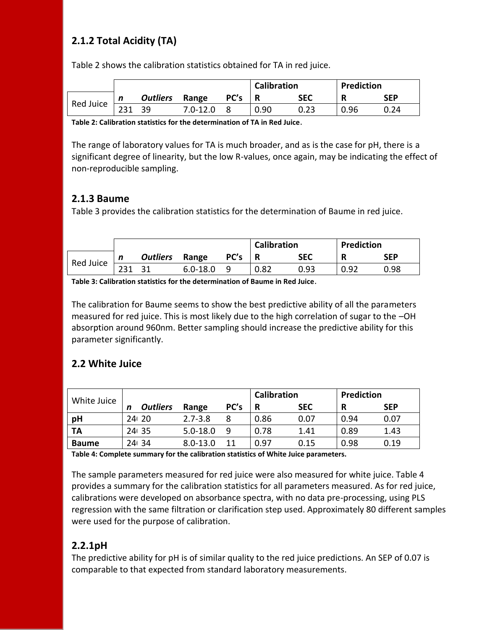# **2.1.2 Total Acidity (TA)**

Table 2 shows the calibration statistics obtained for TA in red juice.

|           |     |                 |              |      | <b>Calibration</b> |            | <b>Prediction</b> |            |
|-----------|-----|-----------------|--------------|------|--------------------|------------|-------------------|------------|
| Red Juice | n   | <b>Outliers</b> | Range        | PC's |                    | <b>SEC</b> |                   | <b>SEP</b> |
|           | 231 | 39.             | $7.0 - 12.0$ |      | 0.90               |            | 0.96              | 0.24       |

**Table 2: Calibration statistics for the determination of TA in Red Juice**.

The range of laboratory values for TA is much broader, and as is the case for pH, there is a significant degree of linearity, but the low R-values, once again, may be indicating the effect of non-reproducible sampling.

### **2.1.3 Baume**

Table 3 provides the calibration statistics for the determination of Baume in red juice.

|           |   |                 |              |      | <b>Calibration</b> |            | <b>Prediction</b> |            |
|-----------|---|-----------------|--------------|------|--------------------|------------|-------------------|------------|
| Red Juice | n | <b>Outliers</b> | Range        | PC's |                    | <b>SEC</b> |                   | <b>SEP</b> |
|           |   |                 | $6.0 - 18.0$ |      | 0.82               | 0.93       | 0.92              | 0.98       |

**Table 3: Calibration statistics for the determination of Baume in Red Juice**.

The calibration for Baume seems to show the best predictive ability of all the parameters measured for red juice. This is most likely due to the high correlation of sugar to the –OH absorption around 960nm. Better sampling should increase the predictive ability for this parameter significantly.

### **2.2 White Juice**

| White Juice  |   |                 |              | <b>Calibration</b> |      | Prediction |      |            |
|--------------|---|-----------------|--------------|--------------------|------|------------|------|------------|
|              | n | <b>Outliers</b> | Range        | PC's               | R    | <b>SEC</b> | R    | <b>SEP</b> |
| pH           |   | 24 20           | $2.7 - 3.8$  | 8                  | 0.86 | 0.07       | 0.94 | 0.07       |
| <b>TA</b>    |   | 24 35           | $5.0 - 18.0$ | q                  | 0.78 | 1.41       | 0.89 | 1.43       |
| <b>Baume</b> |   | 24 34           | $8.0 - 13.0$ | 11                 | 0.97 | 0.15       | 0.98 | 0.19       |

**Table 4: Complete summary for the calibration statistics of White Juice parameters.**

The sample parameters measured for red juice were also measured for white juice. Table 4 provides a summary for the calibration statistics for all parameters measured. As for red juice, calibrations were developed on absorbance spectra, with no data pre-processing, using PLS regression with the same filtration or clarification step used. Approximately 80 different samples were used for the purpose of calibration.

### **2.2.1pH**

The predictive ability for pH is of similar quality to the red juice predictions. An SEP of 0.07 is comparable to that expected from standard laboratory measurements.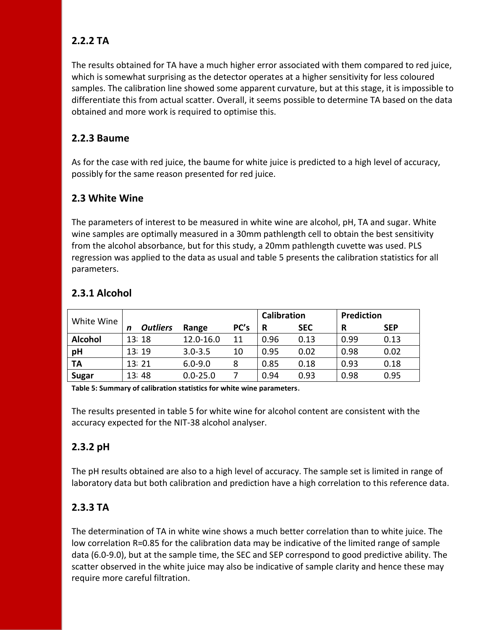# **2.2.2 TA**

The results obtained for TA have a much higher error associated with them compared to red juice, which is somewhat surprising as the detector operates at a higher sensitivity for less coloured samples. The calibration line showed some apparent curvature, but at this stage, it is impossible to differentiate this from actual scatter. Overall, it seems possible to determine TA based on the data obtained and more work is required to optimise this.

### **2.2.3 Baume**

As for the case with red juice, the baume for white juice is predicted to a high level of accuracy, possibly for the same reason presented for red juice.

### **2.3 White Wine**

The parameters of interest to be measured in white wine are alcohol, pH, TA and sugar. White wine samples are optimally measured in a 30mm pathlength cell to obtain the best sensitivity from the alcohol absorbance, but for this study, a 20mm pathlength cuvette was used. PLS regression was applied to the data as usual and table 5 presents the calibration statistics for all parameters.

| White Wine     |                      |              |      | <b>Calibration</b> |            |      | Prediction |  |
|----------------|----------------------|--------------|------|--------------------|------------|------|------------|--|
|                | <b>Outliers</b><br>n | Range        | PC's | R                  | <b>SEC</b> | R    | <b>SEP</b> |  |
| <b>Alcohol</b> | 13 18                | 12.0-16.0    | 11   | 0.96               | 0.13       | 0.99 | 0.13       |  |
| pH             | 13 19                | $3.0 - 3.5$  | 10   | 0.95               | 0.02       | 0.98 | 0.02       |  |
| TA             | 13 21                | $6.0 - 9.0$  | 8    | 0.85               | 0.18       | 0.93 | 0.18       |  |
| <b>Sugar</b>   | 13 48                | $0.0 - 25.0$ |      | 0.94               | 0.93       | 0.98 | 0.95       |  |

# **2.3.1 Alcohol**

**Table 5: Summary of calibration statistics for white wine parameters**.

The results presented in table 5 for white wine for alcohol content are consistent with the accuracy expected for the NIT-38 alcohol analyser.

# **2.3.2 pH**

The pH results obtained are also to a high level of accuracy. The sample set is limited in range of laboratory data but both calibration and prediction have a high correlation to this reference data.

# **2.3.3 TA**

The determination of TA in white wine shows a much better correlation than to white juice. The low correlation R=0.85 for the calibration data may be indicative of the limited range of sample data (6.0-9.0), but at the sample time, the SEC and SEP correspond to good predictive ability. The scatter observed in the white juice may also be indicative of sample clarity and hence these may require more careful filtration.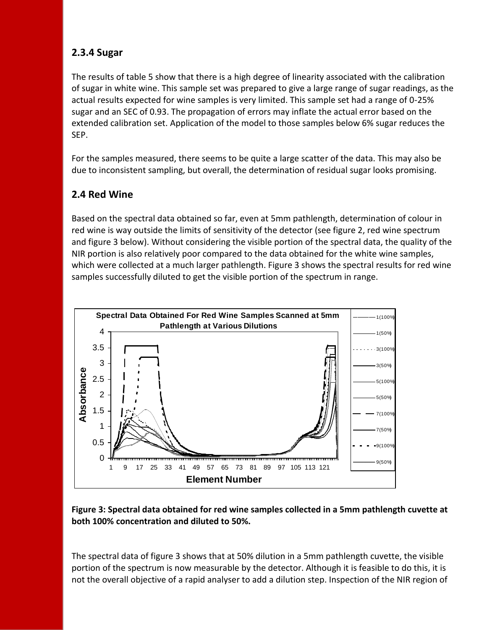### **2.3.4 Sugar**

The results of table 5 show that there is a high degree of linearity associated with the calibration of sugar in white wine. This sample set was prepared to give a large range of sugar readings, as the actual results expected for wine samples is very limited. This sample set had a range of 0-25% sugar and an SEC of 0.93. The propagation of errors may inflate the actual error based on the extended calibration set. Application of the model to those samples below 6% sugar reduces the SEP.

For the samples measured, there seems to be quite a large scatter of the data. This may also be due to inconsistent sampling, but overall, the determination of residual sugar looks promising.

### **2.4 Red Wine**

Based on the spectral data obtained so far, even at 5mm pathlength, determination of colour in red wine is way outside the limits of sensitivity of the detector (see figure 2, red wine spectrum and figure 3 below). Without considering the visible portion of the spectral data, the quality of the NIR portion is also relatively poor compared to the data obtained for the white wine samples, which were collected at a much larger pathlength. Figure 3 shows the spectral results for red wine samples successfully diluted to get the visible portion of the spectrum in range.



**Figure 3: Spectral data obtained for red wine samples collected in a 5mm pathlength cuvette at both 100% concentration and diluted to 50%.**

The spectral data of figure 3 shows that at 50% dilution in a 5mm pathlength cuvette, the visible portion of the spectrum is now measurable by the detector. Although it is feasible to do this, it is not the overall objective of a rapid analyser to add a dilution step. Inspection of the NIR region of